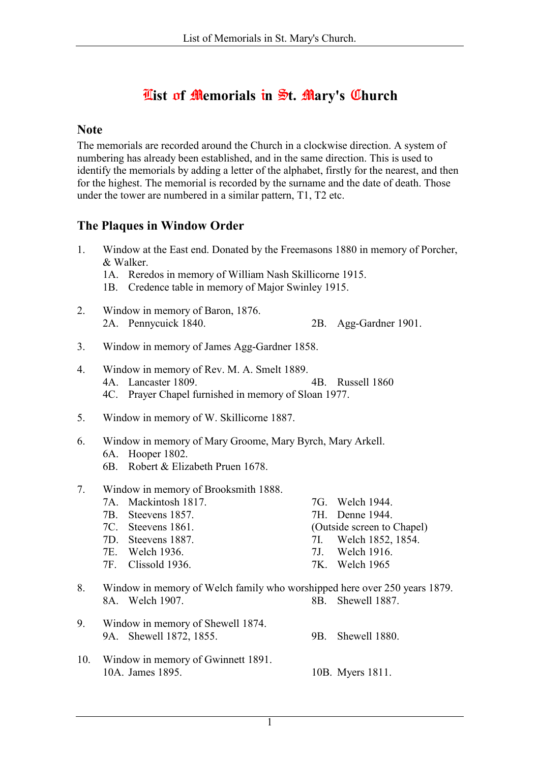## $\overline{\text{first}}$  of Memorials in  $\overline{\text{St.}}$  Mary's Church

#### **Note**

The memorials are recorded around the Church in a clockwise direction. A system of numbering has already been established, and in the same direction. This is used to identify the memorials by adding a letter of the alphabet, firstly for the nearest, and then for the highest. The memorial is recorded by the surname and the date of death. Those under the tower are numbered in a similar pattern, T1, T2 etc.

### The Plaques in Window Order

| 1.  | Window at the East end. Donated by the Freemasons 1880 in memory of Porcher,<br>& Walker.<br>1A. Reredos in memory of William Nash Skillicorne 1915.<br>Credence table in memory of Major Swinley 1915.<br>1B. |                                                                           |                               |                                                                                                                    |
|-----|----------------------------------------------------------------------------------------------------------------------------------------------------------------------------------------------------------------|---------------------------------------------------------------------------|-------------------------------|--------------------------------------------------------------------------------------------------------------------|
| 2.  | 2A. Pennycuick 1840.                                                                                                                                                                                           | Window in memory of Baron, 1876.                                          | 2B.                           | Agg-Gardner 1901.                                                                                                  |
| 3.  |                                                                                                                                                                                                                | Window in memory of James Agg-Gardner 1858.                               |                               |                                                                                                                    |
| 4.  | Window in memory of Rev. M. A. Smelt 1889.<br>4A. Lancaster 1809.<br>4B. Russell 1860<br>4C. Prayer Chapel furnished in memory of Sloan 1977.                                                                  |                                                                           |                               |                                                                                                                    |
| 5.  | Window in memory of W. Skillicorne 1887.                                                                                                                                                                       |                                                                           |                               |                                                                                                                    |
| 6.  | Window in memory of Mary Groome, Mary Byrch, Mary Arkell.<br>Hooper 1802.<br>6A.<br>Robert & Elizabeth Pruen 1678.<br>6B.                                                                                      |                                                                           |                               |                                                                                                                    |
| 7.  | Mackintosh 1817.<br>7A.<br>Steevens 1857.<br>7B.<br>$7C$ .<br>Steevens 1861.<br>7D. Steevens 1887.<br>7E. Welch 1936.<br>7F. Clissold 1936.                                                                    | Window in memory of Brooksmith 1888.                                      | 7H.<br>7I.<br>7J <sub>1</sub> | 7G. Welch 1944.<br>Denne 1944.<br>(Outside screen to Chapel)<br>Welch 1852, 1854.<br>Welch 1916.<br>7K. Welch 1965 |
| 8.  | 8A. Welch 1907.                                                                                                                                                                                                | Window in memory of Welch family who worshipped here over 250 years 1879. | 8B.                           | Shewell 1887.                                                                                                      |
| 9.  | 9A. Shewell 1872, 1855.                                                                                                                                                                                        | Window in memory of Shewell 1874.                                         | 9B.                           | Shewell 1880.                                                                                                      |
| 10. | 10A. James 1895.                                                                                                                                                                                               | Window in memory of Gwinnett 1891.                                        |                               | 10B. Myers 1811.                                                                                                   |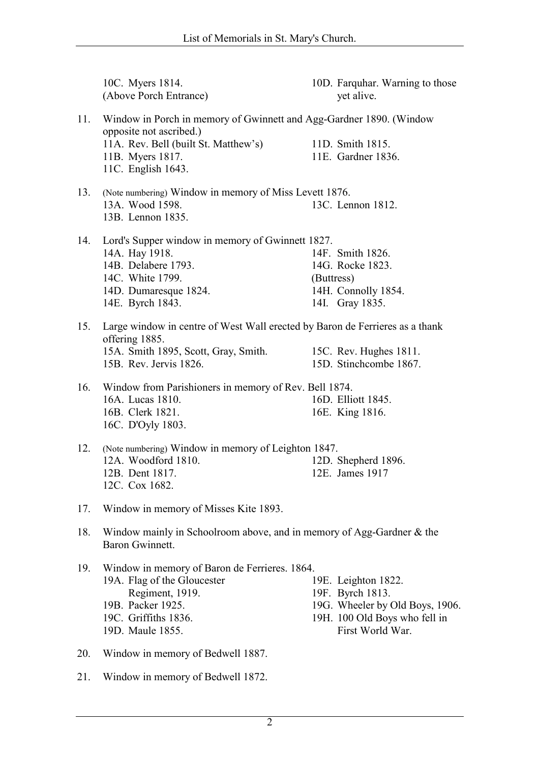10C. Myers 1814. (Above Porch Entrance) 10D. Farquhar. Warning to those yet alive. 11. Window in Porch in memory of Gwinnett and Agg-Gardner 1890. (Window opposite not ascribed.) 11A. Rev. Bell (built St. Matthew's) 11B. Myers 1817. 11C. English 1643. 11D. Smith 1815. 11E. Gardner 1836. 13. (Note numbering) Window in memory of Miss Levett 1876. 13A. Wood 1598. 13B. Lennon 1835. 13C. Lennon 1812. 14. Lord's Supper window in memory of Gwinnett 1827. 14A. Hay 1918. 14B. Delabere 1793. 14C. White 1799. 14D. Dumaresque 1824. 14E. Byrch 1843. 14F. Smith 1826. 14G. Rocke 1823. (Buttress) 14H. Connolly 1854. 14I. Gray 1835. 15. Large window in centre of West Wall erected by Baron de Ferrieres as a thank offering 1885. 15A. Smith 1895, Scott, Gray, Smith. 15B. Rev. Jervis 1826. 15C. Rev. Hughes 1811. 15D. Stinchcombe 1867. 16. Window from Parishioners in memory of Rev. Bell 1874. 16A. Lucas 1810. 16B. Clerk 1821. 16C. D'Oyly 1803. 16D. Elliott 1845. 16E. King 1816. 12. (Note numbering) Window in memory of Leighton 1847. 12A. Woodford 1810. 12B. Dent 1817. 12C. Cox 1682. 12D. Shepherd 1896. 12E. James 1917 17. Window in memory of Misses Kite 1893. 18. Window mainly in Schoolroom above, and in memory of Agg-Gardner & the Baron Gwinnett. 19. Window in memory of Baron de Ferrieres. 1864. 19A. Flag of the Gloucester Regiment, 1919. 19B. Packer 1925. 19C. Griffiths 1836. 19D. Maule 1855. 19E. Leighton 1822. 19F. Byrch 1813. 19G. Wheeler by Old Boys, 1906. 19H. 100 Old Boys who fell in First World War. 20. Window in memory of Bedwell 1887.

21. Window in memory of Bedwell 1872.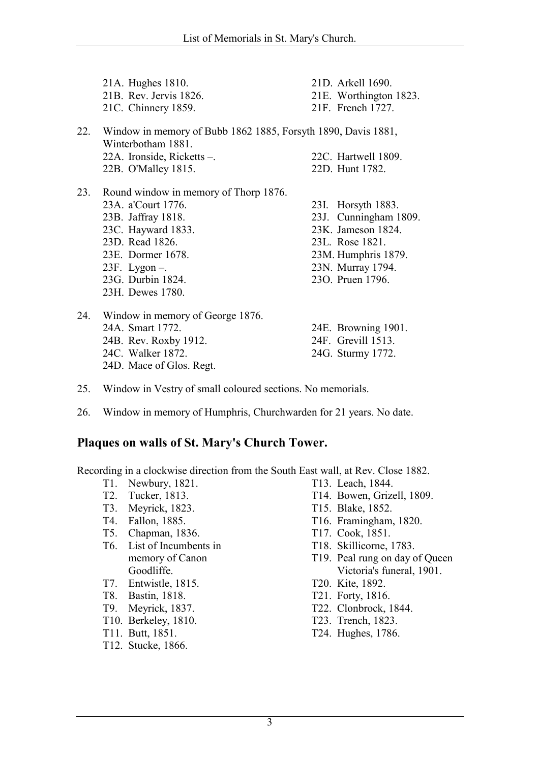|     | 21A. Hughes 1810.<br>21B. Rev. Jervis 1826.<br>21C. Chinnery 1859.                                                                                                                                           | 21D. Arkell 1690.<br>21E. Worthington 1823.<br>21F. French 1727.                                                                                     |
|-----|--------------------------------------------------------------------------------------------------------------------------------------------------------------------------------------------------------------|------------------------------------------------------------------------------------------------------------------------------------------------------|
| 22. | Window in memory of Bubb 1862 1885, Forsyth 1890, Davis 1881,<br>Winterbotham 1881.<br>22A. Ironside, Ricketts -.                                                                                            | 22C. Hartwell 1809.                                                                                                                                  |
|     | 22B. O'Malley 1815.                                                                                                                                                                                          | 22D. Hunt 1782.                                                                                                                                      |
| 23. | Round window in memory of Thorp 1876.<br>23A. a'Court 1776.<br>23B. Jaffray 1818.<br>23C. Hayward 1833.<br>23D. Read 1826.<br>23E. Dormer 1678.<br>$23F$ . Lygon –.<br>23G. Durbin 1824.<br>23H. Dewes 1780. | 23I. Horsyth 1883.<br>23J. Cunningham 1809.<br>23K. Jameson 1824.<br>23L. Rose 1821.<br>23M. Humphris 1879.<br>23N. Murray 1794.<br>230. Pruen 1796. |
| 24. | Window in memory of George 1876.<br>24A. Smart 1772.<br>24B. Rev. Roxby 1912.<br>24C. Walker 1872.                                                                                                           | 24E. Browning 1901.<br>24F. Grevill 1513.<br>24G. Sturmy 1772.                                                                                       |

- 25. Window in Vestry of small coloured sections. No memorials.
- 26. Window in memory of Humphris, Churchwarden for 21 years. No date.

#### Plaques on walls of St. Mary's Church Tower.

Recording in a clockwise direction from the South East wall, at Rev. Close 1882.

T1. Newbury, 1821.

24D. Mace of Glos. Regt.

- T2. Tucker, 1813.
- T3. Meyrick, 1823.
- T4. Fallon, 1885.
- T5. Chapman, 1836.
- T6. List of Incumbents in memory of Canon Goodliffe.
- T7. Entwistle, 1815.
- T8. Bastin, 1818.
- T9. Meyrick, 1837.
- T10. Berkeley, 1810.
- T11. Butt, 1851.
- T12. Stucke, 1866.
- T13. Leach, 1844.
- T14. Bowen, Grizell, 1809.
- T15. Blake, 1852.
- T16. Framingham, 1820.
- T17. Cook, 1851.
- T18. Skillicorne, 1783.
- T19. Peal rung on day of Queen Victoria's funeral, 1901.
- T20. Kite, 1892.
- T21. Forty, 1816.
- T22. Clonbrock, 1844.
- T23. Trench, 1823.
- T24. Hughes, 1786.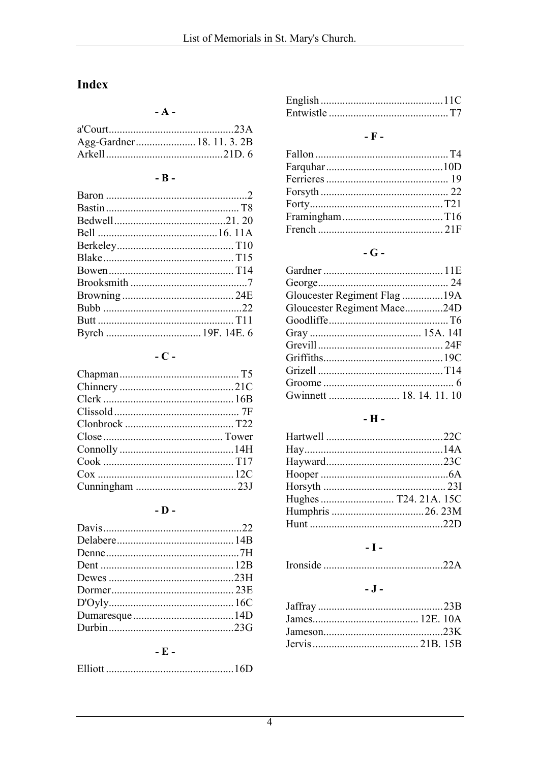# Index

 $- A -$ 

### $-$ **B** $-$

## $-C -$

### $-$ **D**  $-$

### $-$  E  $-$

|--|--|

### -  $\bar{\mathbf{F}}$  -

#### - G -

| Gloucester Regiment Flag 19A |  |
|------------------------------|--|
| Gloucester Regiment Mace24D  |  |
|                              |  |
|                              |  |
|                              |  |
|                              |  |
|                              |  |
|                              |  |
|                              |  |
|                              |  |

### $\textbf{-} \, \textbf{H}$  -

### $\mathbf{-I}$  -

#### $\overline{\phantom{a}}$  .